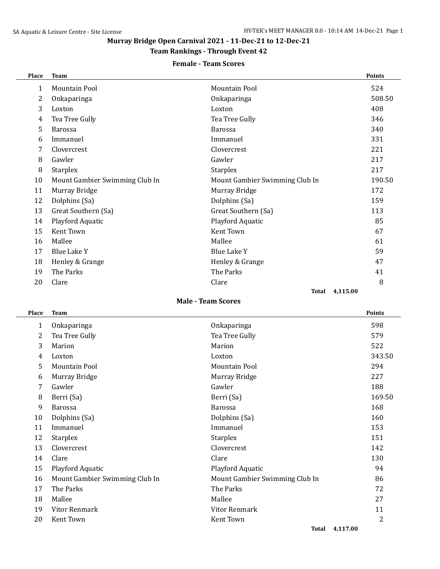# **Murray Bridge Open Carnival 2021 - 11-Dec-21 to 12-Dec-21**

### **Team Rankings - Through Event 42**

### **Female - Team Scores**

| Place                     | <b>Team</b>                    |                                | <b>Points</b> |  |  |  |  |
|---------------------------|--------------------------------|--------------------------------|---------------|--|--|--|--|
| $\mathbf{1}$              | <b>Mountain Pool</b>           | Mountain Pool                  | 524           |  |  |  |  |
| 2                         | Onkaparinga                    | Onkaparinga                    | 508.50        |  |  |  |  |
| 3                         | Loxton                         | Loxton                         | 408           |  |  |  |  |
| 4                         | Tea Tree Gully                 | Tea Tree Gully                 | 346           |  |  |  |  |
| 5                         | <b>Barossa</b>                 | <b>Barossa</b>                 | 340           |  |  |  |  |
| 6                         | Immanuel                       | Immanuel                       | 331           |  |  |  |  |
| 7                         | Clovercrest                    | Clovercrest                    | 221           |  |  |  |  |
| 8                         | Gawler                         | Gawler                         | 217           |  |  |  |  |
| 8                         | <b>Starplex</b>                | <b>Starplex</b>                | 217           |  |  |  |  |
| 10                        | Mount Gambier Swimming Club In | Mount Gambier Swimming Club In | 190.50        |  |  |  |  |
| 11                        | Murray Bridge                  | Murray Bridge                  | 172           |  |  |  |  |
| 12                        | Dolphins (Sa)                  | Dolphins (Sa)                  | 159           |  |  |  |  |
| 13                        | Great Southern (Sa)            | Great Southern (Sa)            | 113           |  |  |  |  |
| 14                        | Playford Aquatic               | Playford Aquatic               | 85            |  |  |  |  |
| 15                        | Kent Town                      | Kent Town                      | 67            |  |  |  |  |
| 16                        | Mallee                         | Mallee                         | 61            |  |  |  |  |
| 17                        | <b>Blue Lake Y</b>             | <b>Blue Lake Y</b>             | 59            |  |  |  |  |
| 18                        | Henley & Grange                | Henley & Grange                | 47            |  |  |  |  |
| 19                        | The Parks                      | The Parks                      | 41            |  |  |  |  |
| 20                        | Clare                          | Clare                          | 8             |  |  |  |  |
| 4,115.00<br>Total         |                                |                                |               |  |  |  |  |
| <b>Male - Team Scores</b> |                                |                                |               |  |  |  |  |

#### **Place Team Points**

| 1  | Onkaparinga                    | Onkaparinga                    | 598    |
|----|--------------------------------|--------------------------------|--------|
| 2  | Tea Tree Gully                 | Tea Tree Gully                 | 579    |
| 3  | Marion                         | Marion                         | 522    |
| 4  | Loxton                         | Loxton                         | 343.50 |
| 5  | Mountain Pool                  | Mountain Pool                  | 294    |
| 6  | Murray Bridge                  | Murray Bridge                  | 227    |
| 7  | Gawler                         | Gawler                         | 188    |
| 8  | Berri (Sa)                     | Berri (Sa)                     | 169.50 |
| 9  | <b>Barossa</b>                 | <b>Barossa</b>                 | 168    |
| 10 | Dolphins (Sa)                  | Dolphins (Sa)                  | 160    |
| 11 | Immanuel                       | Immanuel                       | 153    |
| 12 | <b>Starplex</b>                | <b>Starplex</b>                | 151    |
| 13 | Clovercrest                    | Clovercrest                    | 142    |
| 14 | Clare                          | Clare                          | 130    |
| 15 | Playford Aquatic               | Playford Aquatic               | 94     |
| 16 | Mount Gambier Swimming Club In | Mount Gambier Swimming Club In | 86     |
| 17 | The Parks                      | The Parks                      | 72     |
| 18 | Mallee                         | Mallee                         | 27     |
| 19 | Vitor Renmark                  | Vitor Renmark                  | 11     |
| 20 | Kent Town                      | Kent Town                      | 2      |
|    |                                |                                |        |